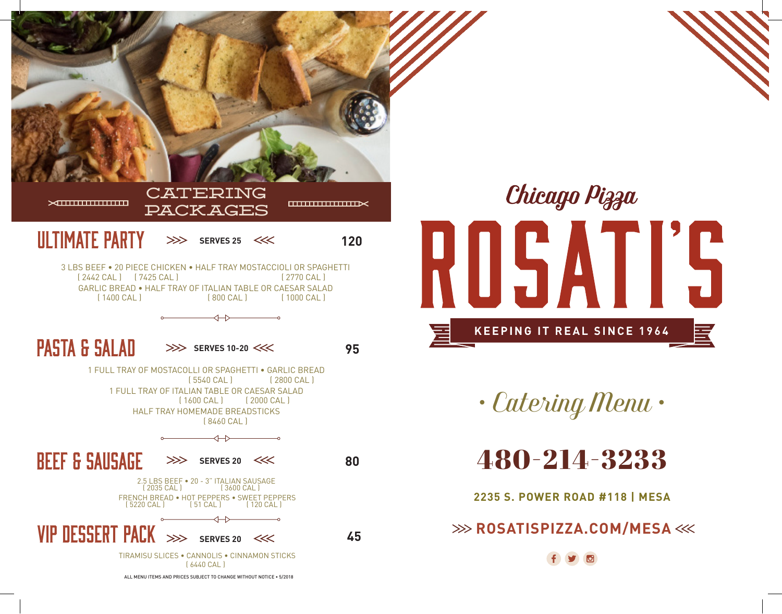



*• Catering Menu •*

480-214-3233

**2235 S. POWER ROAD #118 | MESA**

**EXAMPLE ASSATISPIZZA.COM/MESA**